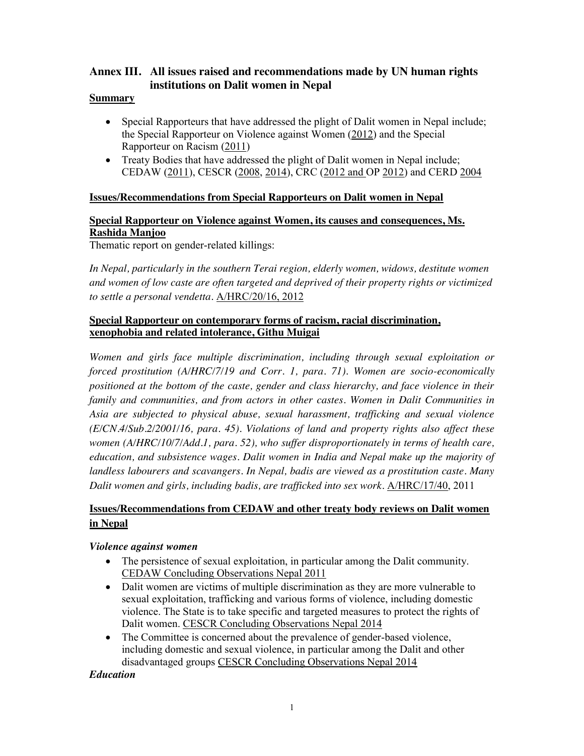## **Annex III. All issues raised and recommendations made by UN human rights institutions on Dalit women in Nepal**

#### **Summary**

- Special Rapporteurs that have addressed the plight of Dalit women in Nepal include; the Special Rapporteur on Violence against Women (2012) and the Special Rapporteur on Racism (2011)
- Treaty Bodies that have addressed the plight of Dalit women in Nepal include; CEDAW (2011), CESCR (2008, 2014), CRC (2012 and OP 2012) and CERD 2004

### **Issues/Recommendations from Special Rapporteurs on Dalit women in Nepal**

# **Special Rapporteur on Violence against Women, its causes and consequences, Ms. Rashida Manjoo**

Thematic report on gender-related killings:

*In Nepal, particularly in the southern Terai region, elderly women, widows, destitute women and women of low caste are often targeted and deprived of their property rights or victimized to settle a personal vendetta.* A/HRC/20/16, 2012

### **Special Rapporteur on contemporary forms of racism, racial discrimination, xenophobia and related intolerance, Githu Muigai**

*Women and girls face multiple discrimination, including through sexual exploitation or forced prostitution (A/HRC/7/19 and Corr. 1, para. 71). Women are socio-economically positioned at the bottom of the caste, gender and class hierarchy, and face violence in their family and communities, and from actors in other castes. Women in Dalit Communities in Asia are subjected to physical abuse, sexual harassment, trafficking and sexual violence (E/CN.4/Sub.2/2001/16, para. 45). Violations of land and property rights also affect these women (A/HRC/10/7/Add.1, para. 52), who suffer disproportionately in terms of health care, education, and subsistence wages. Dalit women in India and Nepal make up the majority of landless labourers and scavangers. In Nepal, badis are viewed as a prostitution caste. Many Dalit women and girls, including badis, are trafficked into sex work.* A/HRC/17/40, 2011

## **Issues/Recommendations from CEDAW and other treaty body reviews on Dalit women in Nepal**

### *Violence against women*

- The persistence of sexual exploitation, in particular among the Dalit community. CEDAW Concluding Observations Nepal 2011
- Dalit women are victims of multiple discrimination as they are more vulnerable to sexual exploitation, trafficking and various forms of violence, including domestic violence. The State is to take specific and targeted measures to protect the rights of Dalit women. CESCR Concluding Observations Nepal 2014
- The Committee is concerned about the prevalence of gender-based violence, including domestic and sexual violence, in particular among the Dalit and other disadvantaged groups CESCR Concluding Observations Nepal 2014

*Education*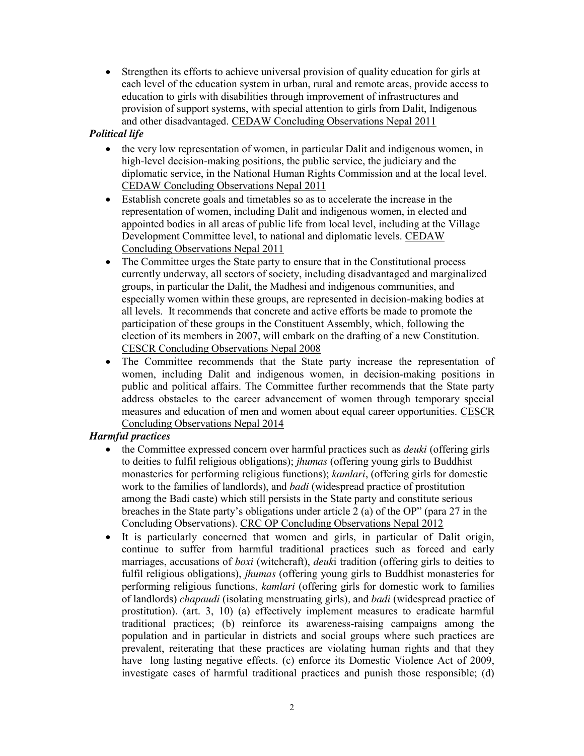• Strengthen its efforts to achieve universal provision of quality education for girls at each level of the education system in urban, rural and remote areas, provide access to education to girls with disabilities through improvement of infrastructures and provision of support systems, with special attention to girls from Dalit, Indigenous and other disadvantaged. CEDAW Concluding Observations Nepal 2011

### *Political life*

- the very low representation of women, in particular Dalit and indigenous women, in high-level decision-making positions, the public service, the judiciary and the diplomatic service, in the National Human Rights Commission and at the local level. CEDAW Concluding Observations Nepal 2011
- Establish concrete goals and timetables so as to accelerate the increase in the representation of women, including Dalit and indigenous women, in elected and appointed bodies in all areas of public life from local level, including at the Village Development Committee level, to national and diplomatic levels. CEDAW Concluding Observations Nepal 2011
- The Committee urges the State party to ensure that in the Constitutional process currently underway, all sectors of society, including disadvantaged and marginalized groups, in particular the Dalit, the Madhesi and indigenous communities, and especially women within these groups, are represented in decision-making bodies at all levels. It recommends that concrete and active efforts be made to promote the participation of these groups in the Constituent Assembly, which, following the election of its members in 2007, will embark on the drafting of a new Constitution. CESCR Concluding Observations Nepal 2008
- The Committee recommends that the State party increase the representation of women, including Dalit and indigenous women, in decision-making positions in public and political affairs. The Committee further recommends that the State party address obstacles to the career advancement of women through temporary special measures and education of men and women about equal career opportunities. CESCR Concluding Observations Nepal 2014

### *Harmful practices*

- the Committee expressed concern over harmful practices such as *deuki* (offering girls to deities to fulfil religious obligations); *jhumas* (offering young girls to Buddhist monasteries for performing religious functions); *kamlari*, (offering girls for domestic work to the families of landlords), and *badi* (widespread practice of prostitution among the Badi caste) which still persists in the State party and constitute serious breaches in the State party's obligations under article 2 (a) of the OP" (para 27 in the Concluding Observations). CRC OP Concluding Observations Nepal 2012
- It is particularly concerned that women and girls, in particular of Dalit origin, continue to suffer from harmful traditional practices such as forced and early marriages, accusations of *boxi* (witchcraft), *deuk*i tradition (offering girls to deities to fulfil religious obligations), *jhumas* (offering young girls to Buddhist monasteries for performing religious functions, *kamlari* (offering girls for domestic work to families of landlords) *chapaudi* (isolating menstruating girls)*,* and *badi* (widespread practice of prostitution)*.* (art. 3, 10) (a) effectively implement measures to eradicate harmful traditional practices; (b) reinforce its awareness-raising campaigns among the population and in particular in districts and social groups where such practices are prevalent, reiterating that these practices are violating human rights and that they have long lasting negative effects. (c) enforce its Domestic Violence Act of 2009, investigate cases of harmful traditional practices and punish those responsible; (d)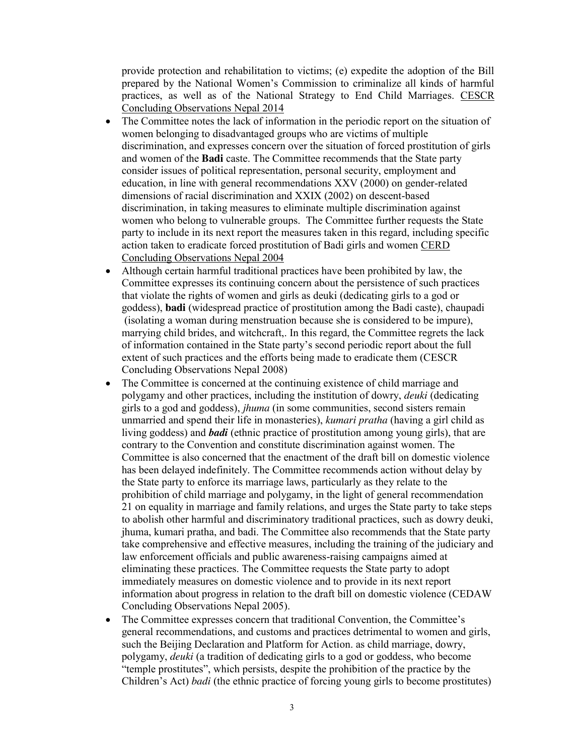provide protection and rehabilitation to victims; (e) expedite the adoption of the Bill prepared by the National Women's Commission to criminalize all kinds of harmful practices, as well as of the National Strategy to End Child Marriages. CESCR Concluding Observations Nepal 2014

- The Committee notes the lack of information in the periodic report on the situation of women belonging to disadvantaged groups who are victims of multiple discrimination, and expresses concern over the situation of forced prostitution of girls and women of the **Badi** caste. The Committee recommends that the State party consider issues of political representation, personal security, employment and education, in line with general recommendations XXV (2000) on gender-related dimensions of racial discrimination and XXIX (2002) on descent-based discrimination, in taking measures to eliminate multiple discrimination against women who belong to vulnerable groups. The Committee further requests the State party to include in its next report the measures taken in this regard, including specific action taken to eradicate forced prostitution of Badi girls and women CERD Concluding Observations Nepal 2004
- Although certain harmful traditional practices have been prohibited by law, the Committee expresses its continuing concern about the persistence of such practices that violate the rights of women and girls as deuki (dedicating girls to a god or goddess), **badi** (widespread practice of prostitution among the Badi caste), chaupadi (isolating a woman during menstruation because she is considered to be impure), marrying child brides, and witchcraft,. In this regard, the Committee regrets the lack of information contained in the State party's second periodic report about the full extent of such practices and the efforts being made to eradicate them (CESCR Concluding Observations Nepal 2008)
- The Committee is concerned at the continuing existence of child marriage and polygamy and other practices, including the institution of dowry, *deuki* (dedicating girls to a god and goddess), *jhuma* (in some communities, second sisters remain unmarried and spend their life in monasteries), *kumari pratha* (having a girl child as living goddess) and *badi* (ethnic practice of prostitution among young girls), that are contrary to the Convention and constitute discrimination against women. The Committee is also concerned that the enactment of the draft bill on domestic violence has been delayed indefinitely. The Committee recommends action without delay by the State party to enforce its marriage laws, particularly as they relate to the prohibition of child marriage and polygamy, in the light of general recommendation 21 on equality in marriage and family relations, and urges the State party to take steps to abolish other harmful and discriminatory traditional practices, such as dowry deuki, jhuma, kumari pratha, and badi. The Committee also recommends that the State party take comprehensive and effective measures, including the training of the judiciary and law enforcement officials and public awareness-raising campaigns aimed at eliminating these practices. The Committee requests the State party to adopt immediately measures on domestic violence and to provide in its next report information about progress in relation to the draft bill on domestic violence (CEDAW Concluding Observations Nepal 2005).
- The Committee expresses concern that traditional Convention, the Committee's general recommendations, and customs and practices detrimental to women and girls, such the Beijing Declaration and Platform for Action. as child marriage, dowry, polygamy, *deuki* (a tradition of dedicating girls to a god or goddess, who become "temple prostitutes", which persists, despite the prohibition of the practice by the Children's Act) *badi* (the ethnic practice of forcing young girls to become prostitutes)